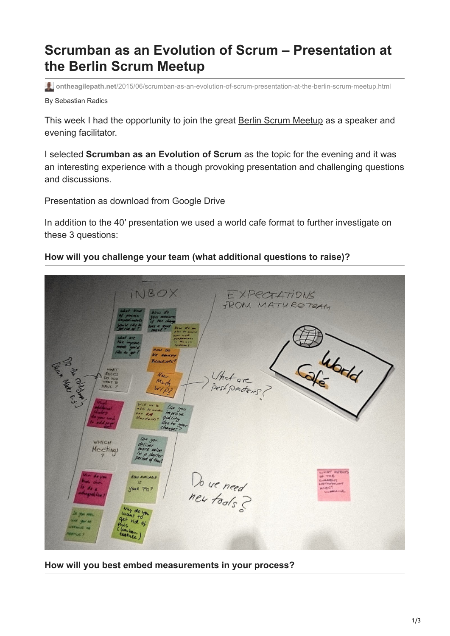## **Scrumban as an Evolution of Scrum – Presentation at the Berlin Scrum Meetup**

By Sebastian Radics **ontheagilepath.net**[/2015/06/scrumban-as-an-evolution-of-scrum-presentation-at-the-berlin-scrum-meetup.html](https://www.ontheagilepath.net/2015/06/scrumban-as-an-evolution-of-scrum-presentation-at-the-berlin-scrum-meetup.html)

This week I had the opportunity to join the great [Berlin Scrum Meetup](http://www.meetup.com/Berlin-Scrum-Meetup/events/223303779/) as a speaker and evening facilitator.

I selected **Scrumban as an Evolution of Scrum** as the topic for the evening and it was an interesting experience with a though provoking presentation and challenging questions and discussions.

[Presentation as download from Google Drive](https://drive.google.com/file/d/0BxXzXLlXBT4TX2JwXzBnUVRZX3M/view?usp=sharing)

In addition to the 40′ presentation we used a world cafe format to further investigate on these 3 questions:

## **How will you challenge your team (what additional questions to raise)?**



**How will you best embed measurements in your process?**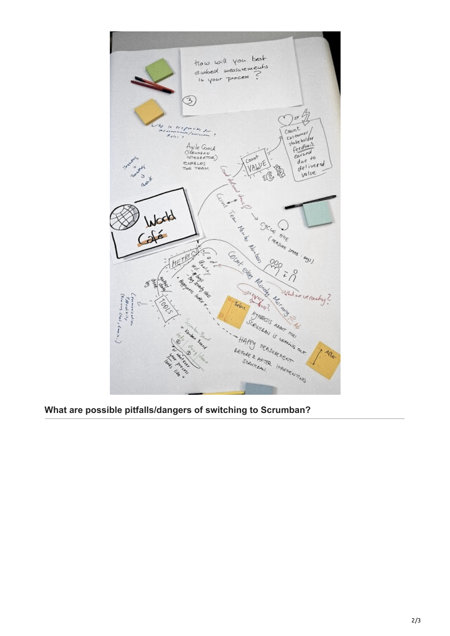

**What are possible pitfalls/dangers of switching to Scrumban?**